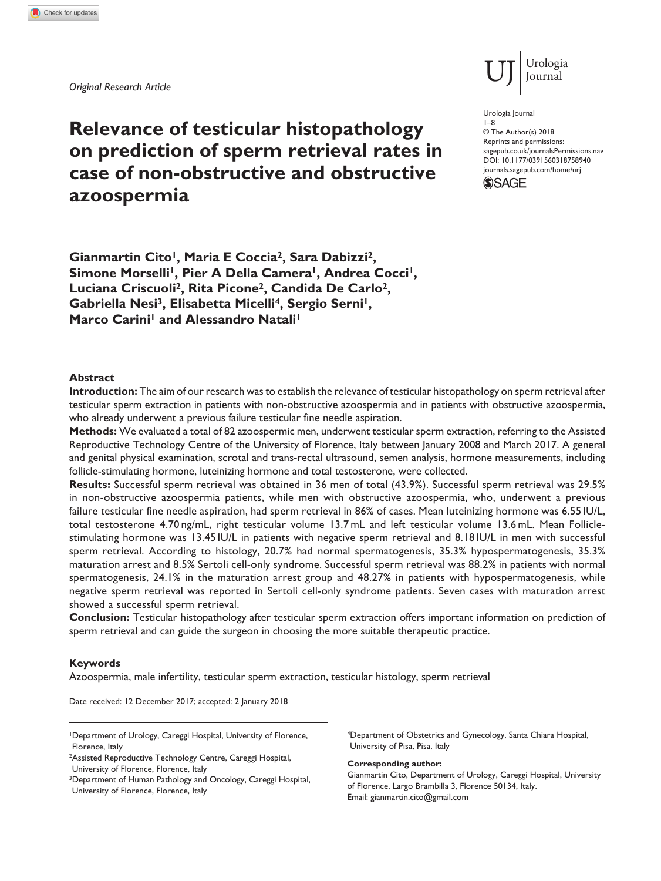*Original Research Article*

**azoospermia**

# **Relevance of testicular histopathology on prediction of sperm retrieval rates in case of non-obstructive and obstructive**

Urologia Journal

Urologia Journal 1–8

DOI: 10.1177/0391560318758940 © The Author(s) 2018 Reprints and permissions: [sagepub.co.uk/journalsPermissions.nav](https://uk.sagepub.com/en-gb/journals-permissions) [journals.sagepub.com/home/urj](https://journals.sagepub.com/home/urj)



Gianmartin Cito<sup>1</sup>, Maria E Coccia<sup>2</sup>, Sara Dabizzi<sup>2</sup>, Simone Morselli<sup>1</sup>, Pier A Della Camera<sup>1</sup>, Andrea Cocci<sup>1</sup>, **Luciana Criscuoli2, Rita Picone2, Candida De Carlo2,**  Gabriella Nesi<sup>3</sup>, Elisabetta Micelli<sup>4</sup>, Sergio Serni<sup>1</sup>, **Marco Carini<sup>1</sup> and Alessandro Natali<sup>1</sup>** 

## **Abstract**

**Introduction:** The aim of our research was to establish the relevance of testicular histopathology on sperm retrieval after testicular sperm extraction in patients with non-obstructive azoospermia and in patients with obstructive azoospermia, who already underwent a previous failure testicular fine needle aspiration.

**Methods:** We evaluated a total of 82 azoospermic men, underwent testicular sperm extraction, referring to the Assisted Reproductive Technology Centre of the University of Florence, Italy between January 2008 and March 2017. A general and genital physical examination, scrotal and trans-rectal ultrasound, semen analysis, hormone measurements, including follicle-stimulating hormone, luteinizing hormone and total testosterone, were collected.

**Results:** Successful sperm retrieval was obtained in 36 men of total (43.9%). Successful sperm retrieval was 29.5% in non-obstructive azoospermia patients, while men with obstructive azoospermia, who, underwent a previous failure testicular fine needle aspiration, had sperm retrieval in 86% of cases. Mean luteinizing hormone was 6.55 IU/L, total testosterone 4.70 ng/mL, right testicular volume 13.7mL and left testicular volume 13.6mL. Mean Folliclestimulating hormone was 13.45 IU/L in patients with negative sperm retrieval and 8.18 IU/L in men with successful sperm retrieval. According to histology, 20.7% had normal spermatogenesis, 35.3% hypospermatogenesis, 35.3% maturation arrest and 8.5% Sertoli cell-only syndrome. Successful sperm retrieval was 88.2% in patients with normal spermatogenesis, 24.1% in the maturation arrest group and 48.27% in patients with hypospermatogenesis, while negative sperm retrieval was reported in Sertoli cell-only syndrome patients. Seven cases with maturation arrest showed a successful sperm retrieval.

**Conclusion:** Testicular histopathology after testicular sperm extraction offers important information on prediction of sperm retrieval and can guide the surgeon in choosing the more suitable therapeutic practice.

## **Keywords**

Azoospermia, male infertility, testicular sperm extraction, testicular histology, sperm retrieval

Date received: 12 December 2017; accepted: 2 January 2018

University of Florence, Florence, Italy

4Department of Obstetrics and Gynecology, Santa Chiara Hospital, University of Pisa, Pisa, Italy

#### **Corresponding author:**

Gianmartin Cito, Department of Urology, Careggi Hospital, University of Florence, Largo Brambilla 3, Florence 50134, Italy. Email: [gianmartin.cito@gmail.com](mailto:gianmartin.cito@gmail.com)

<sup>1</sup>Department of Urology, Careggi Hospital, University of Florence, Florence, Italy

<sup>2</sup>Assisted Reproductive Technology Centre, Careggi Hospital,

<sup>&</sup>lt;sup>3</sup>Department of Human Pathology and Oncology, Careggi Hospital, University of Florence, Florence, Italy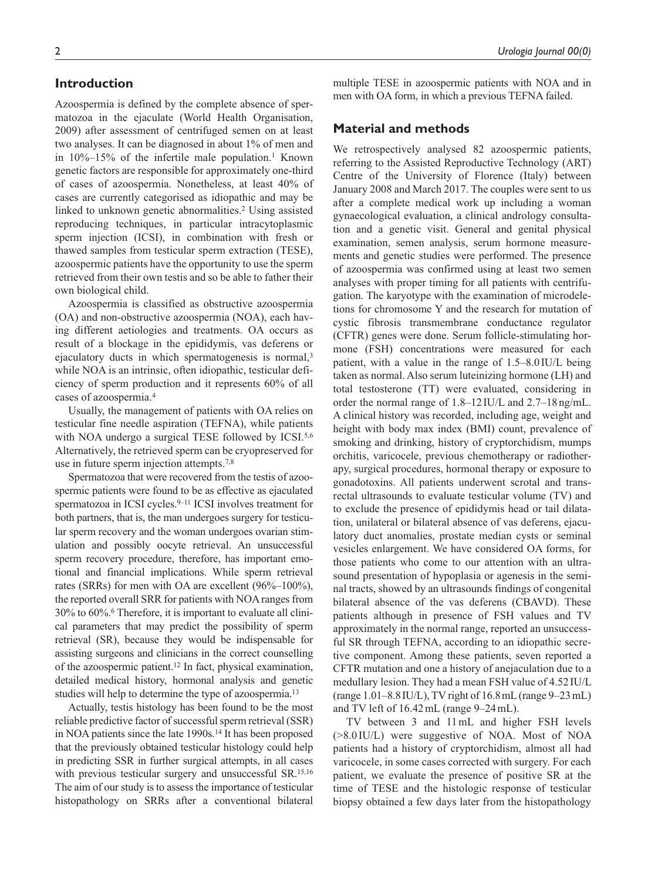## **Introduction**

Azoospermia is defined by the complete absence of spermatozoa in the ejaculate (World Health Organisation, 2009) after assessment of centrifuged semen on at least two analyses. It can be diagnosed in about 1% of men and in  $10\%$ –15% of the infertile male population.<sup>1</sup> Known genetic factors are responsible for approximately one-third of cases of azoospermia. Nonetheless, at least 40% of cases are currently categorised as idiopathic and may be linked to unknown genetic abnormalities.<sup>2</sup> Using assisted reproducing techniques, in particular intracytoplasmic sperm injection (ICSI), in combination with fresh or thawed samples from testicular sperm extraction (TESE), azoospermic patients have the opportunity to use the sperm retrieved from their own testis and so be able to father their own biological child.

Azoospermia is classified as obstructive azoospermia (OA) and non-obstructive azoospermia (NOA), each having different aetiologies and treatments. OA occurs as result of a blockage in the epididymis, vas deferens or ejaculatory ducts in which spermatogenesis is normal,<sup>3</sup> while NOA is an intrinsic, often idiopathic, testicular deficiency of sperm production and it represents 60% of all cases of azoospermia.4

Usually, the management of patients with OA relies on testicular fine needle aspiration (TEFNA), while patients with NOA undergo a surgical TESE followed by ICSI.<sup>5,6</sup> Alternatively, the retrieved sperm can be cryopreserved for use in future sperm injection attempts.<sup>7,8</sup>

Spermatozoa that were recovered from the testis of azoospermic patients were found to be as effective as ejaculated spermatozoa in ICSI cycles.<sup>9-11</sup> ICSI involves treatment for both partners, that is, the man undergoes surgery for testicular sperm recovery and the woman undergoes ovarian stimulation and possibly oocyte retrieval. An unsuccessful sperm recovery procedure, therefore, has important emotional and financial implications. While sperm retrieval rates (SRRs) for men with OA are excellent (96%–100%), the reported overall SRR for patients with NOA ranges from 30% to 60%.6 Therefore, it is important to evaluate all clinical parameters that may predict the possibility of sperm retrieval (SR), because they would be indispensable for assisting surgeons and clinicians in the correct counselling of the azoospermic patient.12 In fact, physical examination, detailed medical history, hormonal analysis and genetic studies will help to determine the type of azoospermia.13

Actually, testis histology has been found to be the most reliable predictive factor of successful sperm retrieval (SSR) in NOA patients since the late 1990s.14 It has been proposed that the previously obtained testicular histology could help in predicting SSR in further surgical attempts, in all cases with previous testicular surgery and unsuccessful SR.15,16 The aim of our study is to assess the importance of testicular histopathology on SRRs after a conventional bilateral

multiple TESE in azoospermic patients with NOA and in men with OA form, in which a previous TEFNA failed.

## **Material and methods**

We retrospectively analysed 82 azoospermic patients, referring to the Assisted Reproductive Technology (ART) Centre of the University of Florence (Italy) between January 2008 and March 2017. The couples were sent to us after a complete medical work up including a woman gynaecological evaluation, a clinical andrology consultation and a genetic visit. General and genital physical examination, semen analysis, serum hormone measurements and genetic studies were performed. The presence of azoospermia was confirmed using at least two semen analyses with proper timing for all patients with centrifugation. The karyotype with the examination of microdeletions for chromosome Y and the research for mutation of cystic fibrosis transmembrane conductance regulator (CFTR) genes were done. Serum follicle-stimulating hormone (FSH) concentrations were measured for each patient, with a value in the range of 1.5–8.0IU/L being taken as normal. Also serum luteinizing hormone (LH) and total testosterone (TT) were evaluated, considering in order the normal range of 1.8–12IU/L and 2.7–18ng/mL. A clinical history was recorded, including age, weight and height with body max index (BMI) count, prevalence of smoking and drinking, history of cryptorchidism, mumps orchitis, varicocele, previous chemotherapy or radiotherapy, surgical procedures, hormonal therapy or exposure to gonadotoxins. All patients underwent scrotal and transrectal ultrasounds to evaluate testicular volume (TV) and to exclude the presence of epididymis head or tail dilatation, unilateral or bilateral absence of vas deferens, ejaculatory duct anomalies, prostate median cysts or seminal vesicles enlargement. We have considered OA forms, for those patients who come to our attention with an ultrasound presentation of hypoplasia or agenesis in the seminal tracts, showed by an ultrasounds findings of congenital bilateral absence of the vas deferens (CBAVD). These patients although in presence of FSH values and TV approximately in the normal range, reported an unsuccessful SR through TEFNA, according to an idiopathic secretive component. Among these patients, seven reported a CFTR mutation and one a history of anejaculation due to a medullary lesion. They had a mean FSH value of 4.52 IU/L (range  $1.01-8.8$  IU/L), TV right of  $16.8$  mL (range  $9-23$  mL) and TV left of 16.42mL (range 9–24mL).

TV between 3 and 11mL and higher FSH levels (>8.0 IU/L) were suggestive of NOA. Most of NOA patients had a history of cryptorchidism, almost all had varicocele, in some cases corrected with surgery. For each patient, we evaluate the presence of positive SR at the time of TESE and the histologic response of testicular biopsy obtained a few days later from the histopathology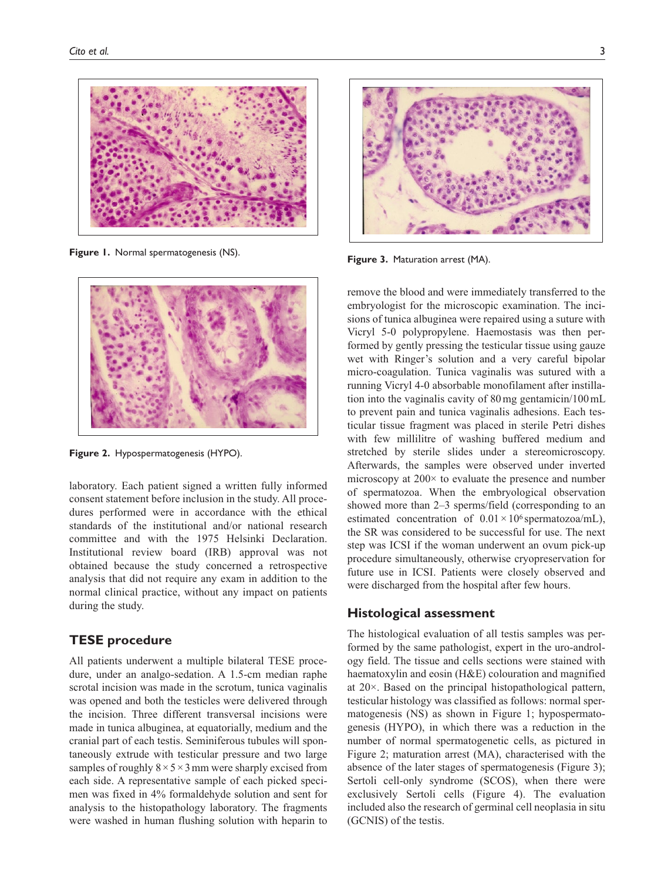

**Figure 1.** Normal spermatogenesis (NS).



**Figure 2.** Hypospermatogenesis (HYPO).

laboratory. Each patient signed a written fully informed consent statement before inclusion in the study. All procedures performed were in accordance with the ethical standards of the institutional and/or national research committee and with the 1975 Helsinki Declaration. Institutional review board (IRB) approval was not obtained because the study concerned a retrospective analysis that did not require any exam in addition to the normal clinical practice, without any impact on patients during the study.

## **TESE procedure**

All patients underwent a multiple bilateral TESE procedure, under an analgo-sedation. A 1.5-cm median raphe scrotal incision was made in the scrotum, tunica vaginalis was opened and both the testicles were delivered through the incision. Three different transversal incisions were made in tunica albuginea, at equatorially, medium and the cranial part of each testis. Seminiferous tubules will spontaneously extrude with testicular pressure and two large samples of roughly  $8 \times 5 \times 3$  mm were sharply excised from each side. A representative sample of each picked specimen was fixed in 4% formaldehyde solution and sent for analysis to the histopathology laboratory. The fragments were washed in human flushing solution with heparin to



**Figure 3.** Maturation arrest (MA).

remove the blood and were immediately transferred to the embryologist for the microscopic examination. The incisions of tunica albuginea were repaired using a suture with Vicryl 5-0 polypropylene. Haemostasis was then performed by gently pressing the testicular tissue using gauze wet with Ringer's solution and a very careful bipolar micro-coagulation. Tunica vaginalis was sutured with a running Vicryl 4-0 absorbable monofilament after instillation into the vaginalis cavity of 80mg gentamicin/100mL to prevent pain and tunica vaginalis adhesions. Each testicular tissue fragment was placed in sterile Petri dishes with few millilitre of washing buffered medium and stretched by sterile slides under a stereomicroscopy. Afterwards, the samples were observed under inverted microscopy at  $200 \times$  to evaluate the presence and number of spermatozoa. When the embryological observation showed more than 2–3 sperms/field (corresponding to an estimated concentration of  $0.01 \times 10^6$  spermatozoa/mL), the SR was considered to be successful for use. The next step was ICSI if the woman underwent an ovum pick-up procedure simultaneously, otherwise cryopreservation for future use in ICSI. Patients were closely observed and were discharged from the hospital after few hours.

## **Histological assessment**

The histological evaluation of all testis samples was performed by the same pathologist, expert in the uro-andrology field. The tissue and cells sections were stained with haematoxylin and eosin (H&E) colouration and magnified at 20×. Based on the principal histopathological pattern, testicular histology was classified as follows: normal spermatogenesis (NS) as shown in Figure 1; hypospermatogenesis (HYPO), in which there was a reduction in the number of normal spermatogenetic cells, as pictured in Figure 2; maturation arrest (MA), characterised with the absence of the later stages of spermatogenesis (Figure 3); Sertoli cell-only syndrome (SCOS), when there were exclusively Sertoli cells (Figure 4). The evaluation included also the research of germinal cell neoplasia in situ (GCNIS) of the testis.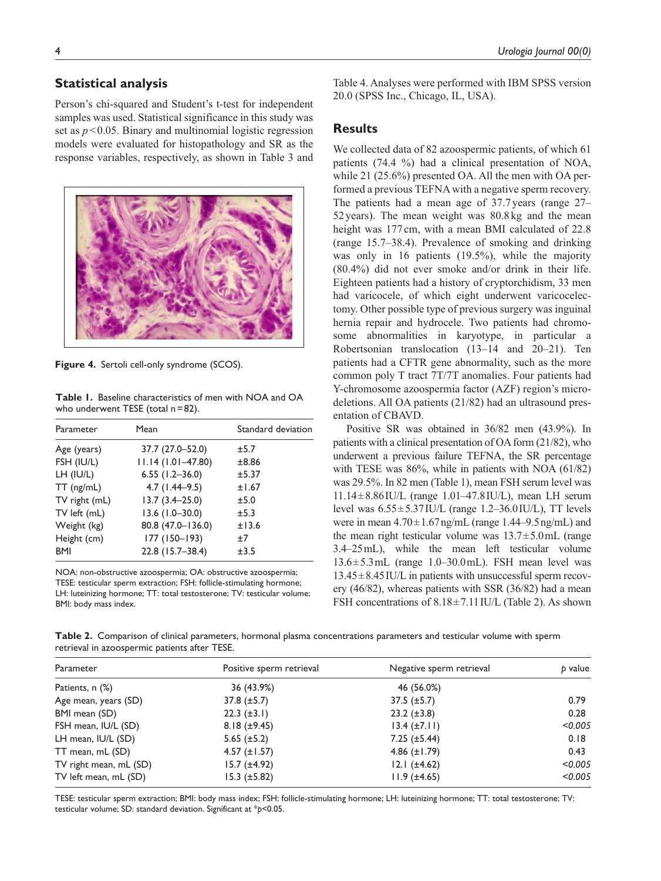# **Statistical analysis**

Person's chi-squared and Student's t-test for independent samples was used. Statistical significance in this study was set as  $p < 0.05$ . Binary and multinomial logistic regression models were evaluated for histopathology and SR as the response variables, respectively, as shown in Table 3 and



**Figure 4.** Sertoli cell-only syndrome (SCOS).

**Table 1.** Baseline characteristics of men with NOA and OA who underwent TESE (total n = 82).

| Parameter     | Mean                | Standard deviation |
|---------------|---------------------|--------------------|
| Age (years)   | 37.7 (27.0–52.0)    | ±5.7               |
| FSH (IU/L)    | $11.14(1.01-47.80)$ | ±8.86              |
| LH (IU/L)     | $6.55$ (1.2-36.0)   | ±5.37              |
| $TT$ (ng/mL)  | $4.7$ (1.44–9.5)    | ±1.67              |
| TV right (mL) | $13.7(3.4 - 25.0)$  | ±5.0               |
| TV left (mL)  | $13.6$ (1.0-30.0)   | ±5.3               |
| Weight (kg)   | 80.8 (47.0-136.0)   | ±13.6              |
| Height (cm)   | 177 (150-193)       | $+7$               |
| <b>BMI</b>    | 22.8 (15.7-38.4)    | ±3.5               |

NOA: non-obstructive azoospermia; OA: obstructive azoospermia; TESE: testicular sperm extraction; FSH: follicle-stimulating hormone; LH: luteinizing hormone; TT: total testosterone; TV: testicular volume; BMI: body mass index.

Table 4. Analyses were performed with IBM SPSS version 20.0 (SPSS Inc., Chicago, IL, USA).

## **Results**

We collected data of 82 azoospermic patients, of which 61 patients (74.4 %) had a clinical presentation of NOA, while 21 (25.6%) presented OA. All the men with OA performed a previous TEFNA with a negative sperm recovery. The patients had a mean age of 37.7 years (range 27– 52years). The mean weight was 80.8 kg and the mean height was 177 cm, with a mean BMI calculated of 22.8 (range 15.7–38.4). Prevalence of smoking and drinking was only in 16 patients (19.5%), while the majority (80.4%) did not ever smoke and/or drink in their life. Eighteen patients had a history of cryptorchidism, 33 men had varicocele, of which eight underwent varicocelectomy. Other possible type of previous surgery was inguinal hernia repair and hydrocele. Two patients had chromosome abnormalities in karyotype, in particular a Robertsonian translocation (13–14 and 20–21). Ten patients had a CFTR gene abnormality, such as the more common poly T tract 7T/7T anomalies. Four patients had Y-chromosome azoospermia factor (AZF) region's microdeletions. All OA patients (21/82) had an ultrasound presentation of CBAVD.

Positive SR was obtained in 36/82 men (43.9%). In patients with a clinical presentation of OA form (21/82), who underwent a previous failure TEFNA, the SR percentage with TESE was 86%, while in patients with NOA (61/82) was 29.5%. In 82 men (Table 1), mean FSH serum level was  $11.14 \pm 8.86 \text{ I}$ U/L (range 1.01–47.8 IU/L), mean LH serum level was  $6.55 \pm 5.37$  IU/L (range 1.2–36.0 IU/L), TT levels were in mean  $4.70 \pm 1.67$  ng/mL (range 1.44–9.5 ng/mL) and the mean right testicular volume was  $13.7 \pm 5.0$  mL (range 3.4–25mL), while the mean left testicular volume 13.6±5.3mL (range 1.0–30.0mL). FSH mean level was  $13.45\pm8.45$  IU/L in patients with unsuccessful sperm recovery (46/82), whereas patients with SSR (36/82) had a mean FSH concentrations of  $8.18 \pm 7.11$  IU/L (Table 2). As shown

**Table 2.** Comparison of clinical parameters, hormonal plasma concentrations parameters and testicular volume with sperm retrieval in azoospermic patients after TESE.

| Parameter              | Positive sperm retrieval | Negative sperm retrieval | b value |
|------------------------|--------------------------|--------------------------|---------|
| Patients, n (%)        | 36 (43.9%)               | 46 (56.0%)               |         |
| Age mean, years (SD)   | $37.8 \ (\pm 5.7)$       | $37.5 \ (\pm 5.7)$       | 0.79    |
| BMI mean (SD)          | $22.3 \ (\pm 3.1)$       | $23.2 (\pm 3.8)$         | 0.28    |
| FSH mean, IU/L (SD)    | $8.18 (\pm 9.45)$        | $13.4 \ (\pm 7.11)$      | < 0.005 |
| LH mean, IU/L (SD)     | 5.65 $(\pm 5.2)$         | $7.25 (\pm 5.44)$        | 0.18    |
| TT mean, mL (SD)       | 4.57 $(\pm 1.57)$        | 4.86 $(\pm 1.79)$        | 0.43    |
| TV right mean, mL (SD) | $15.7 (\pm 4.92)$        | $12.1 (\pm 4.62)$        | < 0.005 |
| TV left mean, mL (SD)  | $15.3 \ (\pm 5.82)$      | $11.9 \ (\pm 4.65)$      | < 0.005 |
|                        |                          |                          |         |

TESE: testicular sperm extraction; BMI: body mass index; FSH: follicle-stimulating hormone; LH: luteinizing hormone; TT: total testosterone; TV: testicular volume; SD: standard deviation. Significant at \**p*<0.05.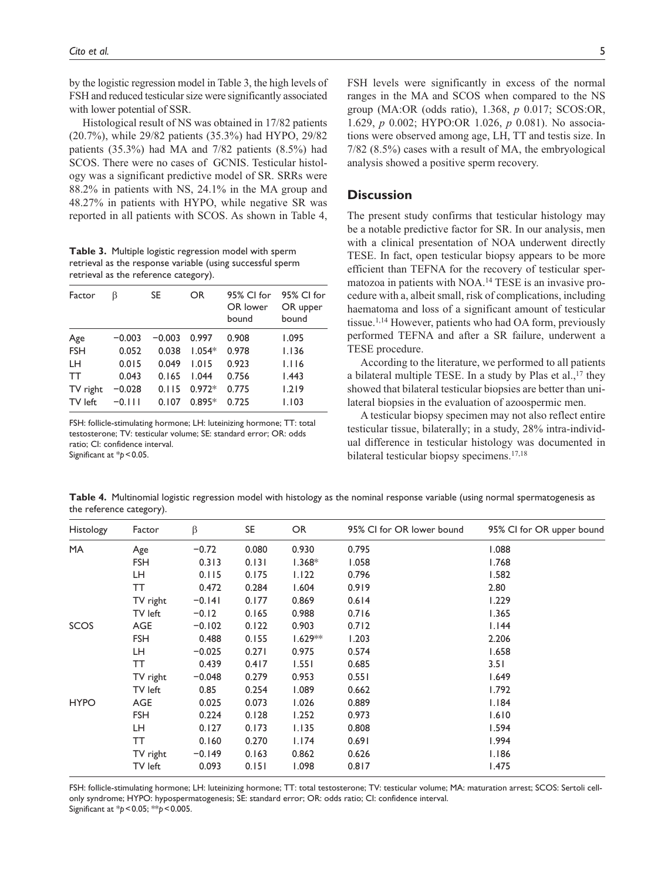by the logistic regression model in Table 3, the high levels of FSH and reduced testicular size were significantly associated with lower potential of SSR.

Histological result of NS was obtained in 17/82 patients (20.7%), while 29/82 patients (35.3%) had HYPO, 29/82 patients (35.3%) had MA and 7/82 patients (8.5%) had SCOS. There were no cases of GCNIS. Testicular histology was a significant predictive model of SR. SRRs were 88.2% in patients with NS, 24.1% in the MA group and 48.27% in patients with HYPO, while negative SR was reported in all patients with SCOS. As shown in Table 4,

**Table 3.** Multiple logistic regression model with sperm retrieval as the response variable (using successful sperm retrieval as the reference category).

| Factor     | ß        | SE.      | <b>OR</b> | 95% CI for<br>OR lower<br>bound | 95% CI for<br>OR upper<br>bound |
|------------|----------|----------|-----------|---------------------------------|---------------------------------|
| Age        | $-0.003$ | $-0.003$ | 0.997     | 0.908                           | 1.095                           |
| <b>FSH</b> | 0.052    | 0.038    | $1.054*$  | 0.978                           | 1.136                           |
| LH.        | 0.015    | 0.049    | 1.015     | 0.923                           | 1.116                           |
| <b>TT</b>  | 0.043    | 0.165    | 1.044     | 0.756                           | 1.443                           |
| TV right   | $-0.028$ | 0.115    | $0.972*$  | 0.775                           | 1.219                           |
| TV left    | $-0.111$ | 0.107    | $0.895*$  | 0.725                           | 1.103                           |
|            |          |          |           |                                 |                                 |

FSH: follicle-stimulating hormone; LH: luteinizing hormone; TT: total testosterone; TV: testicular volume; SE: standard error; OR: odds ratio; CI: confidence interval. Significant at \*p < 0.05.

## **Discussion**

The present study confirms that testicular histology may be a notable predictive factor for SR. In our analysis, men with a clinical presentation of NOA underwent directly TESE. In fact, open testicular biopsy appears to be more efficient than TEFNA for the recovery of testicular spermatozoa in patients with NOA.14 TESE is an invasive procedure with a, albeit small, risk of complications, including haematoma and loss of a significant amount of testicular tissue.1,14 However, patients who had OA form, previously performed TEFNA and after a SR failure, underwent a TESE procedure.

According to the literature, we performed to all patients a bilateral multiple TESE. In a study by Plas et al., $17$  they showed that bilateral testicular biopsies are better than unilateral biopsies in the evaluation of azoospermic men.

A testicular biopsy specimen may not also reflect entire testicular tissue, bilaterally; in a study, 28% intra-individual difference in testicular histology was documented in bilateral testicular biopsy specimens.17,18

**Table 4.** Multinomial logistic regression model with histology as the nominal response variable (using normal spermatogenesis as the reference category).

| <b>Histology</b> | Factor     | β        | SE    | OR        | 95% CI for OR lower bound | 95% Cl for OR upper bound |
|------------------|------------|----------|-------|-----------|---------------------------|---------------------------|
| MA.              | Age        | $-0.72$  | 0.080 | 0.930     | 0.795                     | 1.088                     |
|                  | <b>FSH</b> | 0.313    | 0.131 | $1.368*$  | 1.058                     | I.768                     |
|                  | LH.        | 0.115    | 0.175 | 1.122     | 0.796                     | 1.582                     |
|                  | TT         | 0.472    | 0.284 | 1.604     | 0.919                     | 2.80                      |
|                  | TV right   | $-0.141$ | 0.177 | 0.869     | 0.614                     | 1.229                     |
|                  | TV left    | $-0.12$  | 0.165 | 0.988     | 0.716                     | 1.365                     |
| SCOS             | <b>AGE</b> | $-0.102$ | 0.122 | 0.903     | 0.712                     | 1.144                     |
|                  | <b>FSH</b> | 0.488    | 0.155 | $1.629**$ | 1.203                     | 2.206                     |
|                  | LH.        | $-0.025$ | 0.271 | 0.975     | 0.574                     | 1.658                     |
|                  | TT         | 0.439    | 0.417 | 1.551     | 0.685                     | 3.51                      |
|                  | TV right   | $-0.048$ | 0.279 | 0.953     | 0.551                     | 1.649                     |
|                  | TV left    | 0.85     | 0.254 | 1.089     | 0.662                     | 1.792                     |
| <b>HYPO</b>      | <b>AGE</b> | 0.025    | 0.073 | 1.026     | 0.889                     | 1.184                     |
|                  | <b>FSH</b> | 0.224    | 0.128 | 1.252     | 0.973                     | 1.610                     |
|                  | LH.        | 0.127    | 0.173 | 1.135     | 0.808                     | 1.594                     |
|                  | <b>TT</b>  | 0.160    | 0.270 | 1.174     | 0.691                     | 1.994                     |
|                  | TV right   | $-0.149$ | 0.163 | 0.862     | 0.626                     | 1.186                     |
|                  | TV left    | 0.093    | 0.151 | 1.098     | 0.817                     | I.475                     |

FSH: follicle-stimulating hormone; LH: luteinizing hormone; TT: total testosterone; TV: testicular volume; MA: maturation arrest; SCOS: Sertoli cellonly syndrome; HYPO: hypospermatogenesis; SE: standard error; OR: odds ratio; CI: confidence interval. Significant at \**p*<0.05; \*\**p*<0.005.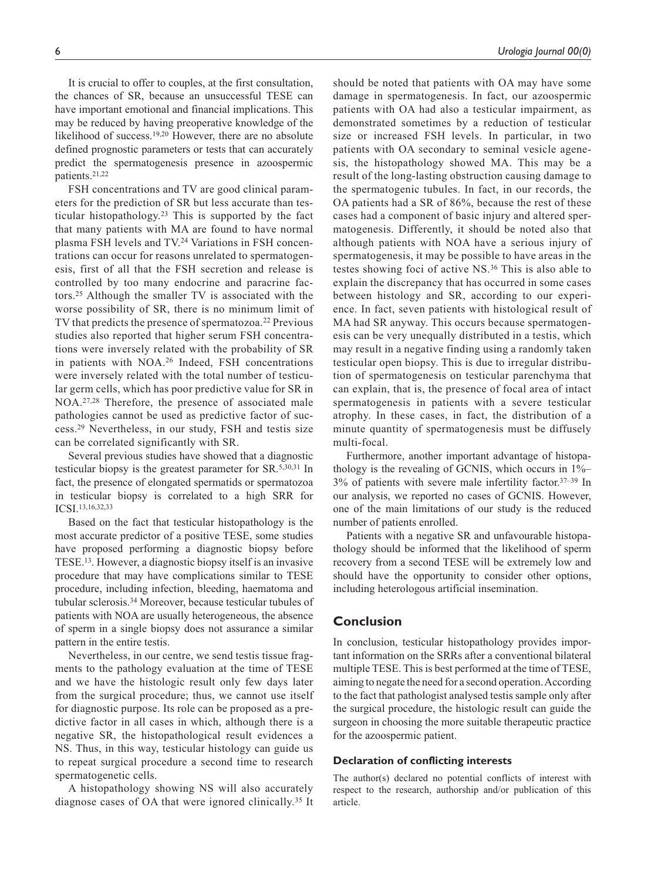It is crucial to offer to couples, at the first consultation, the chances of SR, because an unsuccessful TESE can have important emotional and financial implications. This may be reduced by having preoperative knowledge of the likelihood of success.19,20 However, there are no absolute defined prognostic parameters or tests that can accurately predict the spermatogenesis presence in azoospermic patients.21,22

FSH concentrations and TV are good clinical parameters for the prediction of SR but less accurate than testicular histopathology.23 This is supported by the fact that many patients with MA are found to have normal plasma FSH levels and TV.24 Variations in FSH concentrations can occur for reasons unrelated to spermatogenesis, first of all that the FSH secretion and release is controlled by too many endocrine and paracrine factors.25 Although the smaller TV is associated with the worse possibility of SR, there is no minimum limit of TV that predicts the presence of spermatozoa.<sup>22</sup> Previous studies also reported that higher serum FSH concentrations were inversely related with the probability of SR in patients with NOA.26 Indeed, FSH concentrations were inversely related with the total number of testicular germ cells, which has poor predictive value for SR in NOA.27,28 Therefore, the presence of associated male pathologies cannot be used as predictive factor of success.29 Nevertheless, in our study, FSH and testis size can be correlated significantly with SR.

Several previous studies have showed that a diagnostic testicular biopsy is the greatest parameter for SR.5,30,31 In fact, the presence of elongated spermatids or spermatozoa in testicular biopsy is correlated to a high SRR for ICSI.13,16,32,33

Based on the fact that testicular histopathology is the most accurate predictor of a positive TESE, some studies have proposed performing a diagnostic biopsy before TESE.13. However, a diagnostic biopsy itself is an invasive procedure that may have complications similar to TESE procedure, including infection, bleeding, haematoma and tubular sclerosis.34 Moreover, because testicular tubules of patients with NOA are usually heterogeneous, the absence of sperm in a single biopsy does not assurance a similar pattern in the entire testis.

Nevertheless, in our centre, we send testis tissue fragments to the pathology evaluation at the time of TESE and we have the histologic result only few days later from the surgical procedure; thus, we cannot use itself for diagnostic purpose. Its role can be proposed as a predictive factor in all cases in which, although there is a negative SR, the histopathological result evidences a NS. Thus, in this way, testicular histology can guide us to repeat surgical procedure a second time to research spermatogenetic cells.

A histopathology showing NS will also accurately diagnose cases of OA that were ignored clinically.35 It

should be noted that patients with OA may have some damage in spermatogenesis. In fact, our azoospermic patients with OA had also a testicular impairment, as demonstrated sometimes by a reduction of testicular size or increased FSH levels. In particular, in two patients with OA secondary to seminal vesicle agenesis, the histopathology showed MA. This may be a result of the long-lasting obstruction causing damage to the spermatogenic tubules. In fact, in our records, the OA patients had a SR of 86%, because the rest of these cases had a component of basic injury and altered spermatogenesis. Differently, it should be noted also that although patients with NOA have a serious injury of spermatogenesis, it may be possible to have areas in the testes showing foci of active NS.36 This is also able to explain the discrepancy that has occurred in some cases between histology and SR, according to our experience. In fact, seven patients with histological result of MA had SR anyway. This occurs because spermatogenesis can be very unequally distributed in a testis, which may result in a negative finding using a randomly taken testicular open biopsy. This is due to irregular distribution of spermatogenesis on testicular parenchyma that can explain, that is, the presence of focal area of intact spermatogenesis in patients with a severe testicular atrophy. In these cases, in fact, the distribution of a minute quantity of spermatogenesis must be diffusely multi-focal.

Furthermore, another important advantage of histopathology is the revealing of GCNIS, which occurs in 1%– 3% of patients with severe male infertility factor.37–39 In our analysis, we reported no cases of GCNIS. However, one of the main limitations of our study is the reduced number of patients enrolled.

Patients with a negative SR and unfavourable histopathology should be informed that the likelihood of sperm recovery from a second TESE will be extremely low and should have the opportunity to consider other options, including heterologous artificial insemination.

## **Conclusion**

In conclusion, testicular histopathology provides important information on the SRRs after a conventional bilateral multiple TESE. This is best performed at the time of TESE, aiming to negate the need for a second operation. According to the fact that pathologist analysed testis sample only after the surgical procedure, the histologic result can guide the surgeon in choosing the more suitable therapeutic practice for the azoospermic patient.

## **Declaration of conflicting interests**

The author(s) declared no potential conflicts of interest with respect to the research, authorship and/or publication of this article.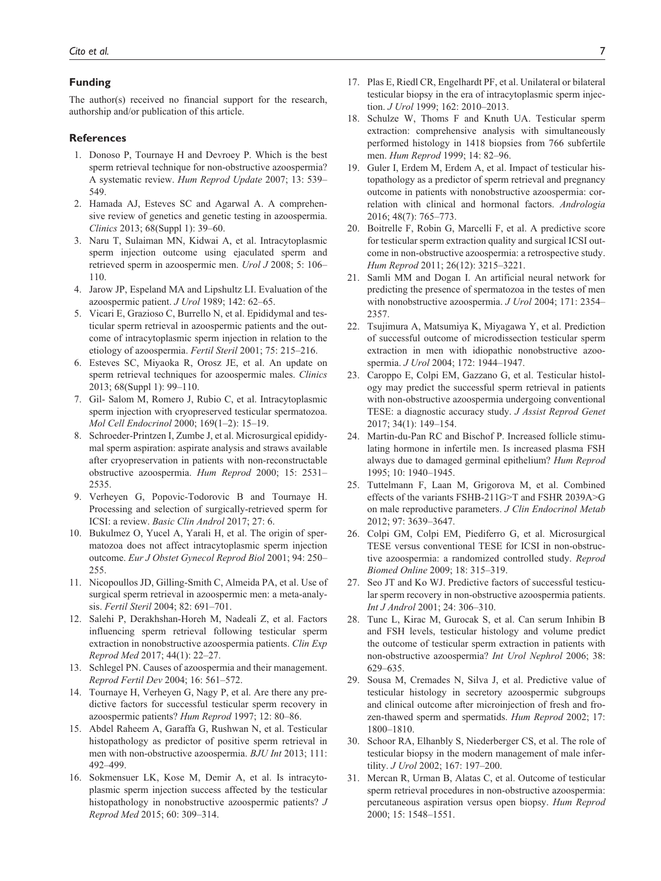#### **Funding**

The author(s) received no financial support for the research, authorship and/or publication of this article.

#### **References**

- 1. Donoso P, Tournaye H and Devroey P. Which is the best sperm retrieval technique for non-obstructive azoospermia? A systematic review. *Hum Reprod Update* 2007; 13: 539– 549.
- 2. Hamada AJ, Esteves SC and Agarwal A. A comprehensive review of genetics and genetic testing in azoospermia. *Clinics* 2013; 68(Suppl 1): 39–60.
- 3. Naru T, Sulaiman MN, Kidwai A, et al. Intracytoplasmic sperm injection outcome using ejaculated sperm and retrieved sperm in azoospermic men. *Urol J* 2008; 5: 106– 110.
- 4. Jarow JP, Espeland MA and Lipshultz LI. Evaluation of the azoospermic patient. *J Urol* 1989; 142: 62–65.
- 5. Vicari E, Grazioso C, Burrello N, et al. Epididymal and testicular sperm retrieval in azoospermic patients and the outcome of intracytoplasmic sperm injection in relation to the etiology of azoospermia. *Fertil Steril* 2001; 75: 215–216.
- 6. Esteves SC, Miyaoka R, Orosz JE, et al. An update on sperm retrieval techniques for azoospermic males. *Clinics* 2013; 68(Suppl 1): 99–110.
- 7. Gil- Salom M, Romero J, Rubio C, et al. Intracytoplasmic sperm injection with cryopreserved testicular spermatozoa. *Mol Cell Endocrinol* 2000; 169(1–2): 15–19.
- 8. Schroeder-Printzen I, Zumbe J, et al. Microsurgical epididymal sperm aspiration: aspirate analysis and straws available after cryopreservation in patients with non-reconstructable obstructive azoospermia. *Hum Reprod* 2000; 15: 2531– 2535.
- 9. Verheyen G, Popovic-Todorovic B and Tournaye H. Processing and selection of surgically-retrieved sperm for ICSI: a review. *Basic Clin Androl* 2017; 27: 6.
- 10. Bukulmez O, Yucel A, Yarali H, et al. The origin of spermatozoa does not affect intracytoplasmic sperm injection outcome. *Eur J Obstet Gynecol Reprod Biol* 2001; 94: 250– 255.
- 11. Nicopoullos JD, Gilling-Smith C, Almeida PA, et al. Use of surgical sperm retrieval in azoospermic men: a meta-analysis. *Fertil Steril* 2004; 82: 691–701.
- 12. Salehi P, Derakhshan-Horeh M, Nadeali Z, et al. Factors influencing sperm retrieval following testicular sperm extraction in nonobstructive azoospermia patients. *Clin Exp Reprod Med* 2017; 44(1): 22–27.
- 13. Schlegel PN. Causes of azoospermia and their management. *Reprod Fertil Dev* 2004; 16: 561–572.
- 14. Tournaye H, Verheyen G, Nagy P, et al. Are there any predictive factors for successful testicular sperm recovery in azoospermic patients? *Hum Reprod* 1997; 12: 80–86.
- 15. Abdel Raheem A, Garaffa G, Rushwan N, et al. Testicular histopathology as predictor of positive sperm retrieval in men with non-obstructive azoospermia. *BJU Int* 2013; 111: 492–499.
- 16. Sokmensuer LK, Kose M, Demir A, et al. Is intracytoplasmic sperm injection success affected by the testicular histopathology in nonobstructive azoospermic patients? *J Reprod Med* 2015; 60: 309–314.
- 17. Plas E, Riedl CR, Engelhardt PF, et al. Unilateral or bilateral testicular biopsy in the era of intracytoplasmic sperm injection. *J Urol* 1999; 162: 2010–2013.
- 18. Schulze W, Thoms F and Knuth UA. Testicular sperm extraction: comprehensive analysis with simultaneously performed histology in 1418 biopsies from 766 subfertile men. *Hum Reprod* 1999; 14: 82–96.
- 19. Guler I, Erdem M, Erdem A, et al. Impact of testicular histopathology as a predictor of sperm retrieval and pregnancy outcome in patients with nonobstructive azoospermia: correlation with clinical and hormonal factors. *Andrologia* 2016; 48(7): 765–773.
- 20. Boitrelle F, Robin G, Marcelli F, et al. A predictive score for testicular sperm extraction quality and surgical ICSI outcome in non-obstructive azoospermia: a retrospective study. *Hum Reprod* 2011; 26(12): 3215–3221.
- 21. Samli MM and Dogan I. An artificial neural network for predicting the presence of spermatozoa in the testes of men with nonobstructive azoospermia. *J Urol* 2004; 171: 2354– 2357.
- 22. Tsujimura A, Matsumiya K, Miyagawa Y, et al. Prediction of successful outcome of microdissection testicular sperm extraction in men with idiopathic nonobstructive azoospermia. *J Urol* 2004; 172: 1944–1947.
- 23. Caroppo E, Colpi EM, Gazzano G, et al. Testicular histology may predict the successful sperm retrieval in patients with non-obstructive azoospermia undergoing conventional TESE: a diagnostic accuracy study. *J Assist Reprod Genet* 2017; 34(1): 149–154.
- 24. Martin-du-Pan RC and Bischof P. Increased follicle stimulating hormone in infertile men. Is increased plasma FSH always due to damaged germinal epithelium? *Hum Reprod* 1995; 10: 1940–1945.
- 25. Tuttelmann F, Laan M, Grigorova M, et al. Combined effects of the variants FSHB-211G>T and FSHR 2039A>G on male reproductive parameters. *J Clin Endocrinol Metab* 2012; 97: 3639–3647.
- 26. Colpi GM, Colpi EM, Piediferro G, et al. Microsurgical TESE versus conventional TESE for ICSI in non-obstructive azoospermia: a randomized controlled study. *Reprod Biomed Online* 2009; 18: 315–319.
- 27. Seo JT and Ko WJ. Predictive factors of successful testicular sperm recovery in non-obstructive azoospermia patients. *Int J Androl* 2001; 24: 306–310.
- 28. Tunc L, Kirac M, Gurocak S, et al. Can serum Inhibin B and FSH levels, testicular histology and volume predict the outcome of testicular sperm extraction in patients with non-obstructive azoospermia? *Int Urol Nephrol* 2006; 38: 629–635.
- 29. Sousa M, Cremades N, Silva J, et al. Predictive value of testicular histology in secretory azoospermic subgroups and clinical outcome after microinjection of fresh and frozen-thawed sperm and spermatids. *Hum Reprod* 2002; 17: 1800–1810.
- 30. Schoor RA, Elhanbly S, Niederberger CS, et al. The role of testicular biopsy in the modern management of male infertility. *J Urol* 2002; 167: 197–200.
- 31. Mercan R, Urman B, Alatas C, et al. Outcome of testicular sperm retrieval procedures in non-obstructive azoospermia: percutaneous aspiration versus open biopsy. *Hum Reprod* 2000; 15: 1548–1551.